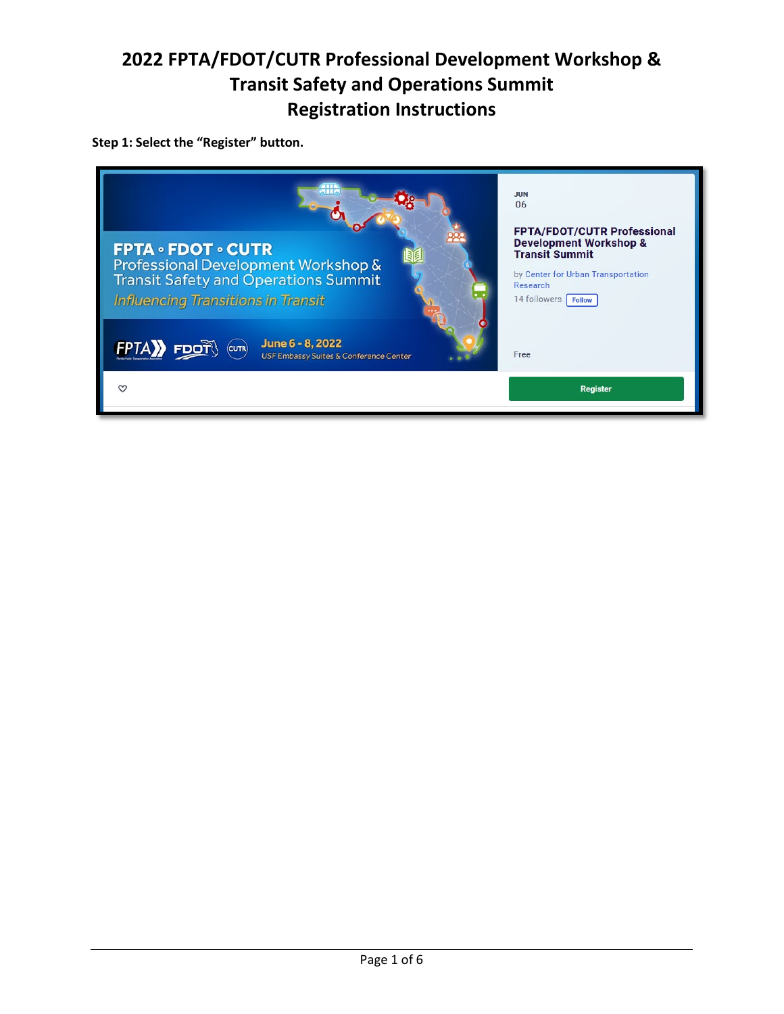#### **Step 1: Select the "Register" button.**

| <b>JUN</b><br>06<br><b>FPTA/FDOT/CUTR Professional</b><br><b>Development Workshop &amp;</b><br><b>FPTA • FDOT • CUTR</b><br><b>Transit Summit</b><br>Professional Development Workshop &<br>by Center for Urban Transportation<br><b>Transit Safety and Operations Summit</b><br>Research<br><b>Influencing Transitions in Transit</b><br>14 followers   Follow<br>June 6 - 8, 2022<br><b>FDOT</b><br><b>FPTA</b><br>(curr)<br>Free<br><b>USF Embassy Suites &amp; Conference Center</b> |                 |  |
|------------------------------------------------------------------------------------------------------------------------------------------------------------------------------------------------------------------------------------------------------------------------------------------------------------------------------------------------------------------------------------------------------------------------------------------------------------------------------------------|-----------------|--|
|                                                                                                                                                                                                                                                                                                                                                                                                                                                                                          | <b>Register</b> |  |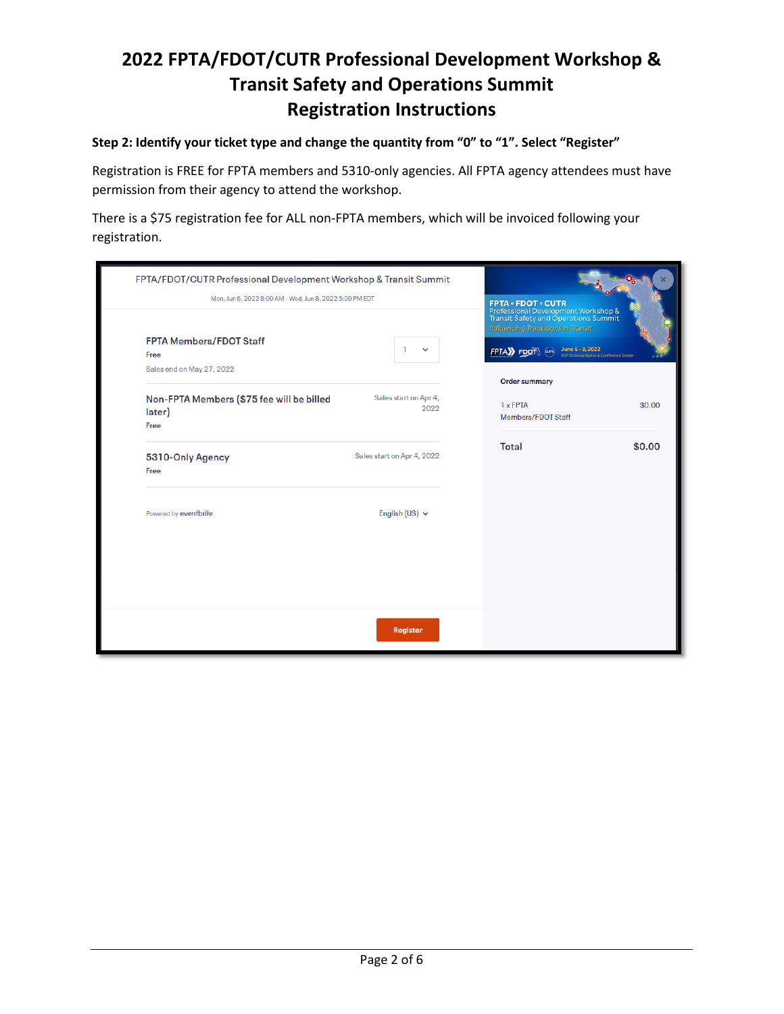#### **Step 2: Identify your ticket type and change the quantity from "0" to "1". Select "Register"**

Registration is FREE for FPTA members and 5310-only agencies. All FPTA agency attendees must have permission from their agency to attend the workshop.

There is a \$75 registration fee for ALL non-FPTA members, which will be invoiced following your registration.

| FPTA/FDOT/CUTR Professional Development Workshop & Transit Summit<br>Mon, Jun 6, 2022 8:00 AM - Wed, Jun 8, 2022 5:00 PM EDT<br><b>FPTA Members/FDOT Staff</b> |                               | <b>FPTA · FDOT · CUTR</b><br>Professional Development Workshop &<br><b>Transit Safety and Operations Summit</b><br><b>Influencing Transitions in Transit</b> |        |
|----------------------------------------------------------------------------------------------------------------------------------------------------------------|-------------------------------|--------------------------------------------------------------------------------------------------------------------------------------------------------------|--------|
| Free                                                                                                                                                           | $\checkmark$                  | June 6 - 8, 2022<br>FPTAX FDOT<br>USF Embassy Suites & Conference Center                                                                                     |        |
| Sales end on May 27, 2022                                                                                                                                      |                               | <b>Order summary</b>                                                                                                                                         |        |
| Non-FPTA Members (\$75 fee will be billed<br>later)<br>Free                                                                                                    | Sales start on Apr 4,<br>2022 | 1 x FPTA<br>Members/FDOT Staff                                                                                                                               | \$0.00 |
| 5310-Only Agency<br>Free                                                                                                                                       | Sales start on Apr 4, 2022    | <b>Total</b>                                                                                                                                                 | \$0.00 |
| Powered by eventbrite                                                                                                                                          | English (US) $\vee$           |                                                                                                                                                              |        |
|                                                                                                                                                                |                               |                                                                                                                                                              |        |
|                                                                                                                                                                | <b>Register</b>               |                                                                                                                                                              |        |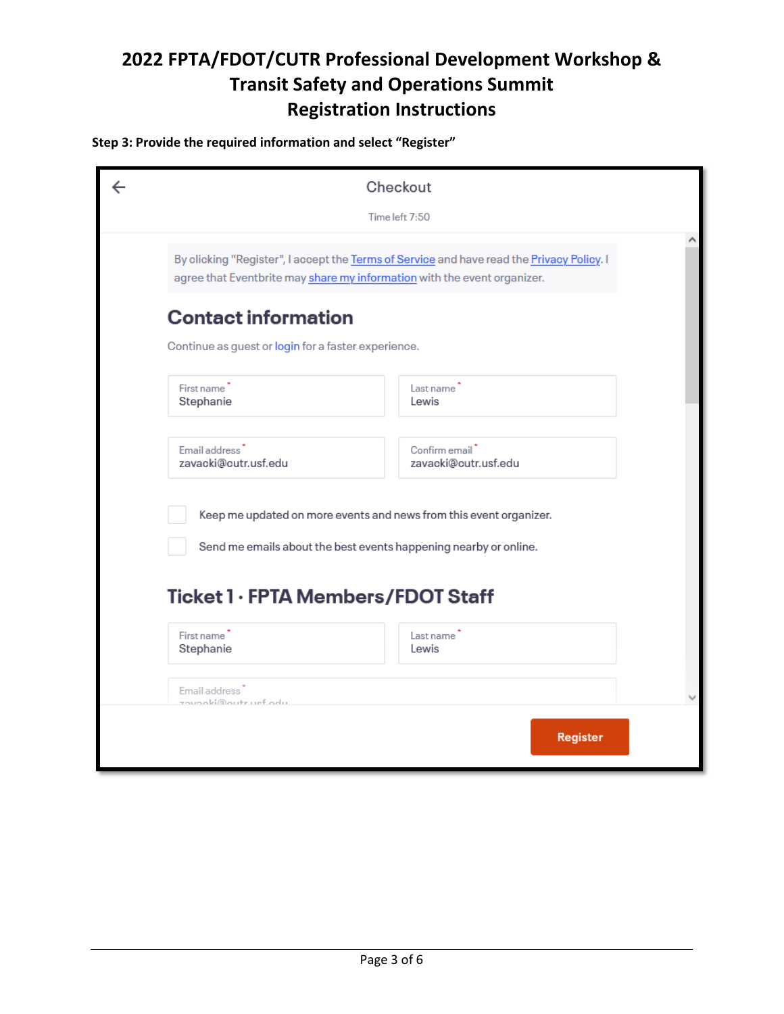#### **Step 3: Provide the required information and select "Register"**

| Checkout                                                                                                                                                              |                                        |  |
|-----------------------------------------------------------------------------------------------------------------------------------------------------------------------|----------------------------------------|--|
|                                                                                                                                                                       | Time left 7:50                         |  |
| By clicking "Register", I accept the Terms of Service and have read the Privacy Policy. I<br>agree that Eventbrite may share my information with the event organizer. |                                        |  |
| <b>Contact information</b><br>Continue as guest or login for a faster experience.                                                                                     |                                        |  |
| First name <sup>1</sup><br>Stephanie                                                                                                                                  | Last name<br>Lewis                     |  |
| Email address <sup>*</sup><br>zavacki@cutr.usf.edu                                                                                                                    | Confirm email*<br>zavacki@cutr.usf.edu |  |
| Keep me updated on more events and news from this event organizer.<br>Send me emails about the best events happening nearby or online.                                |                                        |  |
| Ticket 1 · FPTA Members/FDOT Staff<br>First name <sup>1</sup><br>Stephanie                                                                                            | Last name<br>Lewis                     |  |
| Email address<br>zavaoki©outruef odu                                                                                                                                  |                                        |  |
|                                                                                                                                                                       | <b>Register</b>                        |  |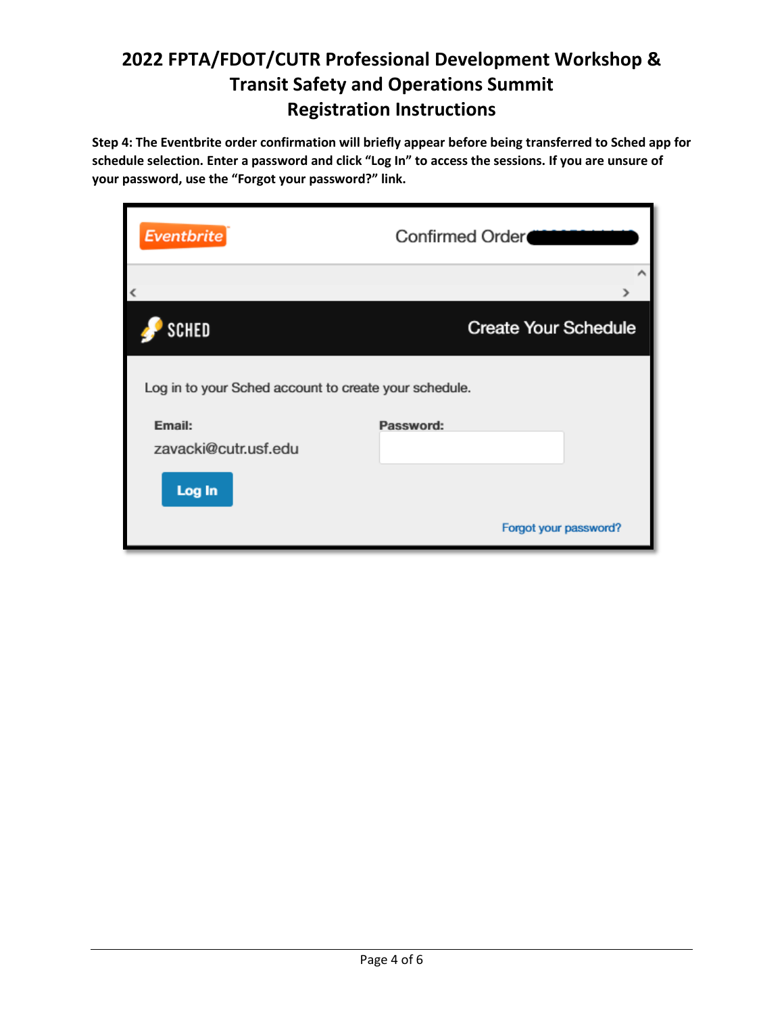**Step 4: The Eventbrite order confirmation will briefly appear before being transferred to Sched app for schedule selection. Enter a password and click "Log In" to access the sessions. If you are unsure of your password, use the "Forgot your password?" link.**

| <b>Eventbrite</b>                                     | Confirmed Order             |  |  |  |
|-------------------------------------------------------|-----------------------------|--|--|--|
| ∢                                                     |                             |  |  |  |
| SCHED                                                 | <b>Create Your Schedule</b> |  |  |  |
| Log in to your Sched account to create your schedule. |                             |  |  |  |
| Email:                                                | Password:                   |  |  |  |
| zavacki@cutr.usf.edu<br>Log In                        |                             |  |  |  |
|                                                       | Forgot your password?       |  |  |  |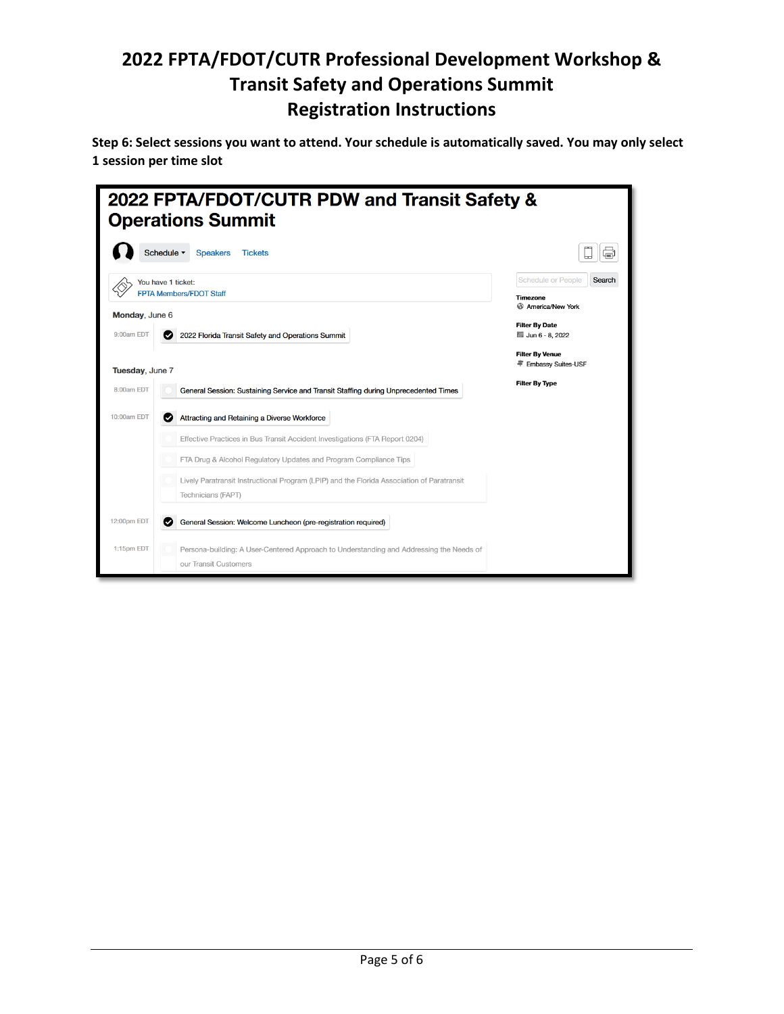**Step 6: Select sessions you want to attend. Your schedule is automatically saved. You may only select 1 session per time slot**